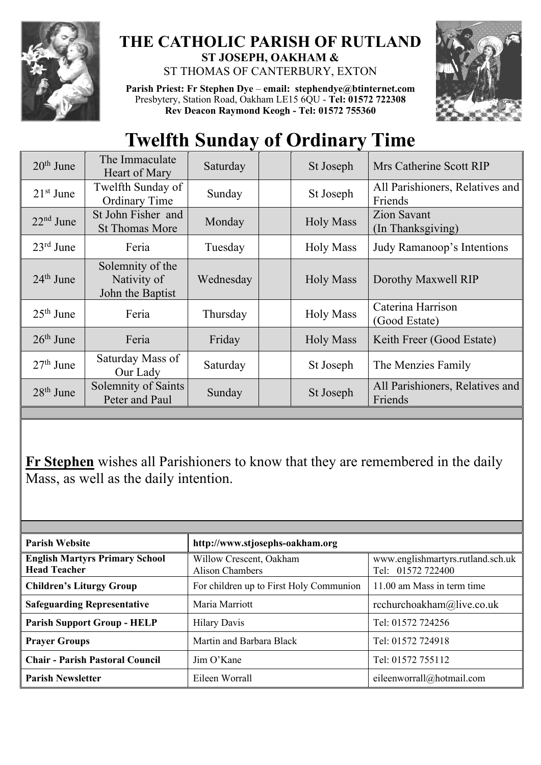

## **THE CATHOLIC PARISH OF RUTLAND ST JOSEPH, OAKHAM &**  ST THOMAS OF CANTERBURY, EXTON

**Parish Priest: Fr Stephen Dye** – **[email: stephendye@btinternet.com](mailto:email:%20%20stephendye@btinternet.com)** Presbytery, Station Road, Oakham LE15 6QU - **Tel: 01572 722308 Rev Deacon Raymond Keogh - Tel: 01572 755360**



## **Twelfth Sunday of Ordinary Time**

| $20th$ June           | The Immaculate<br>Heart of Mary                     | Saturday  | St Joseph        | Mrs Catherine Scott RIP                    |
|-----------------------|-----------------------------------------------------|-----------|------------------|--------------------------------------------|
| $21st$ June           | Twelfth Sunday of<br><b>Ordinary Time</b>           | Sunday    | St Joseph        | All Parishioners, Relatives and<br>Friends |
| $22nd$ June           | St John Fisher and<br><b>St Thomas More</b>         | Monday    | <b>Holy Mass</b> | <b>Zion Savant</b><br>(In Thanksgiving)    |
| $23^{\text{rd}}$ June | Feria                                               | Tuesday   | <b>Holy Mass</b> | Judy Ramanoop's Intentions                 |
| $24th$ June           | Solemnity of the<br>Nativity of<br>John the Baptist | Wednesday | <b>Holy Mass</b> | Dorothy Maxwell RIP                        |
| $25th$ June           | Feria                                               | Thursday  | <b>Holy Mass</b> | Caterina Harrison<br>(Good Estate)         |
| $26th$ June           | Feria                                               | Friday    | <b>Holy Mass</b> | Keith Freer (Good Estate)                  |
| $27th$ June           | Saturday Mass of<br>Our Lady                        | Saturday  | St Joseph        | The Menzies Family                         |
| $28th$ June           | Solemnity of Saints<br>Peter and Paul               | Sunday    | St Joseph        | All Parishioners, Relatives and<br>Friends |

**Fr Stephen** wishes all Parishioners to know that they are remembered in the daily Mass, as well as the daily intention.

| <b>Parish Website</b>                                        | http://www.stjosephs-oakham.org                   |                                                        |  |  |
|--------------------------------------------------------------|---------------------------------------------------|--------------------------------------------------------|--|--|
| <b>English Martyrs Primary School</b><br><b>Head Teacher</b> | Willow Crescent, Oakham<br><b>Alison Chambers</b> | www.englishmartyrs.rutland.sch.uk<br>Tel: 01572 722400 |  |  |
| <b>Children's Liturgy Group</b>                              | For children up to First Holy Communion           | 11.00 am Mass in term time                             |  |  |
| <b>Safeguarding Representative</b>                           | Maria Marriott                                    | rcchurchoakham@live.co.uk                              |  |  |
| <b>Parish Support Group - HELP</b>                           | <b>Hilary Davis</b>                               | Tel: 01572 724256                                      |  |  |
| <b>Prayer Groups</b>                                         | Martin and Barbara Black                          | Tel: 01572 724918                                      |  |  |
| <b>Chair - Parish Pastoral Council</b>                       | Jim O'Kane                                        | Tel: 01572 755112                                      |  |  |
| <b>Parish Newsletter</b>                                     | Eileen Worrall                                    | eileenworrall@hotmail.com                              |  |  |